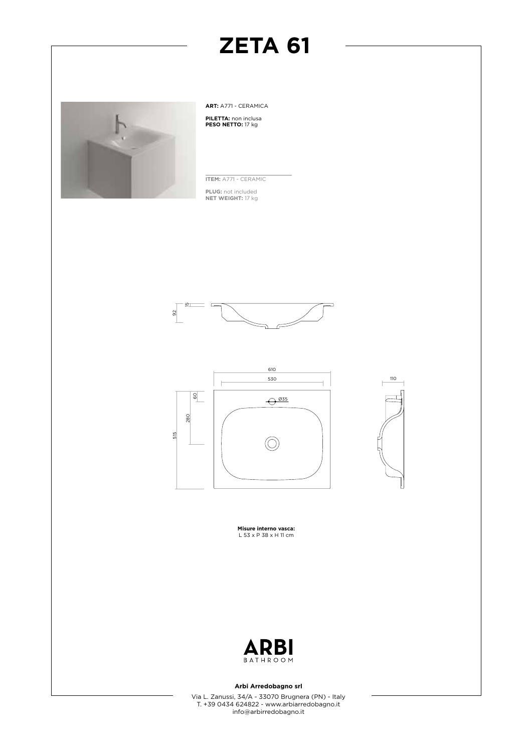

**ART:** A771 - CERAMICA

**PILETTA:** non inclusa **PESO NETTO:** 17 kg

**ITEM:** A771 - CERAMIC **PLUG:** not included **NET WEIGHT:** 17 kg







**Misure interno vasca:** L 53 x P 38 x H 11 cm



#### **Arbi Arredobagno srl**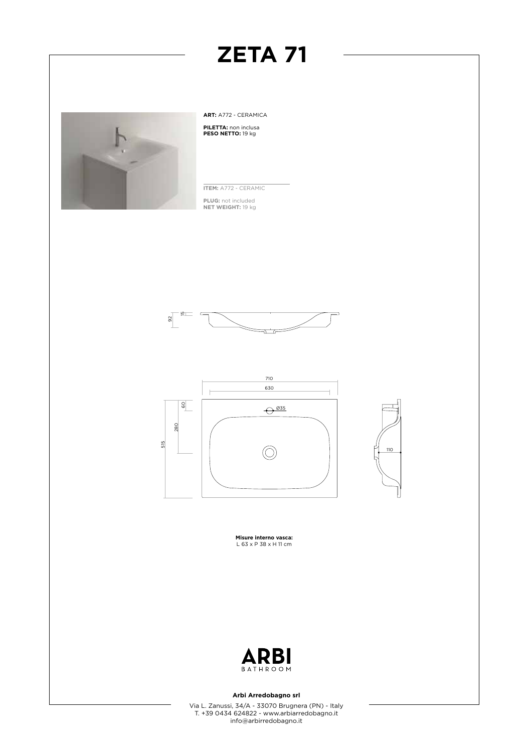

**ART:** A772 - CERAMICA **PILETTA:** non inclusa **PESO NETTO:** 19 kg

**ITEM:** A772 - CERAMIC

**PLUG:** not included **NET WEIGHT:** 19 kg







**Misure interno vasca:** L 63 x P 38 x H 11 cm



#### **Arbi Arredobagno srl**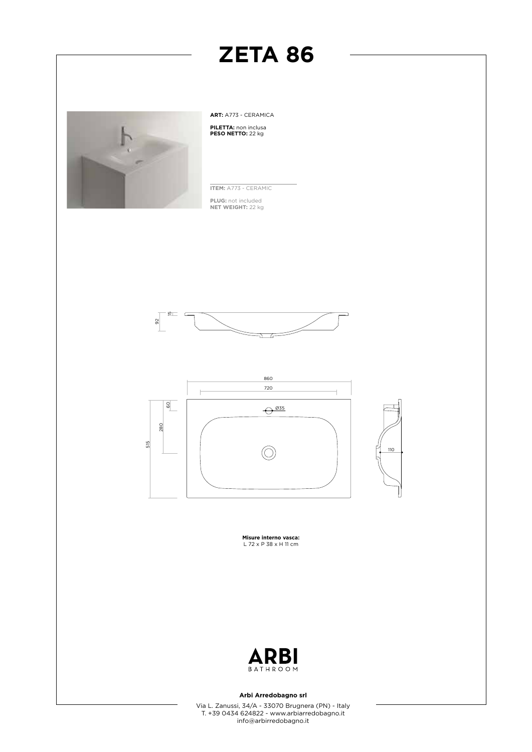

**ART:** A773 - CERAMICA **PILETTA:** non inclusa **PESO NETTO:** 22 kg

**ITEM:** A773 - CERAMIC

**PLUG:** not included **NET WEIGHT:** 22 kg





**Misure interno vasca:** L 72 x P 38 x H 11 cm



#### **Arbi Arredobagno srl**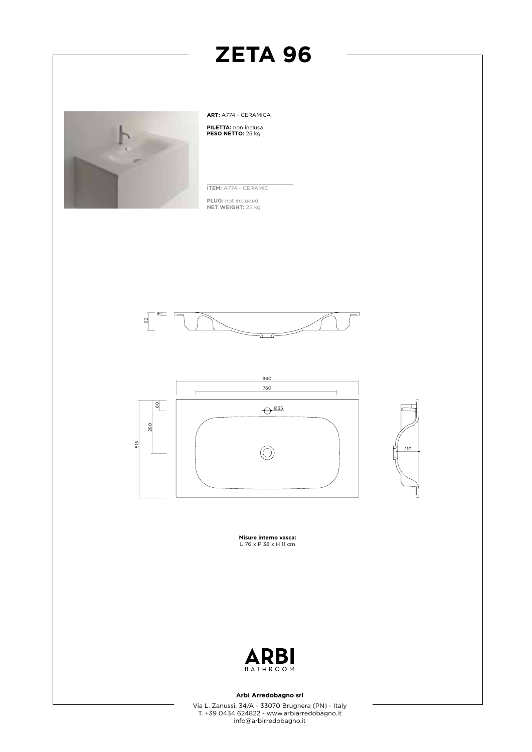

**ART:** A774 - CERAMICA **PILETTA:** non inclusa **PESO NETTO:** 25 kg

**ITEM:** A774 - CERAMIC

**PLUG:** not included **NET WEIGHT:** 25 kg







**Misure interno vasca:** L 76 x P 38 x H 11 cm



#### **Arbi Arredobagno srl**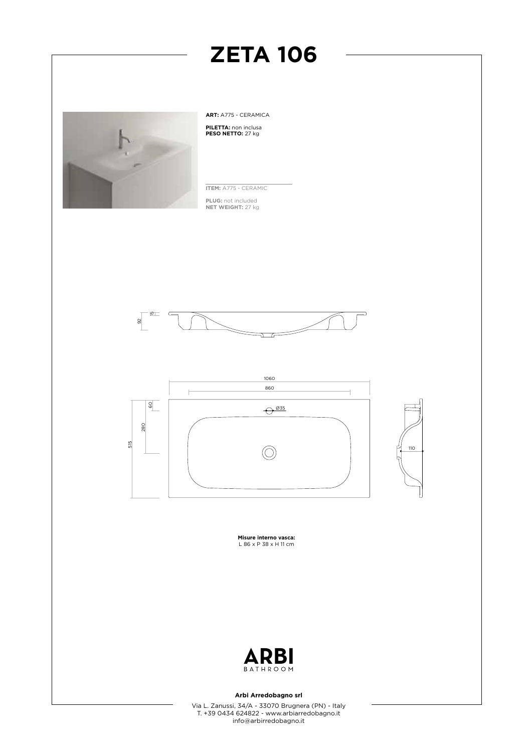

**ART:** A775 - CERAMICA **PILETTA:** non inclusa **PESO NETTO:** 27 kg

**ITEM:** A775 - CERAMIC

**PLUG:** not included **NET WEIGHT:** 27 kg





**Misure interno vasca:** L 86 x P 38 x H 11 cm



#### **Arbi Arredobagno srl**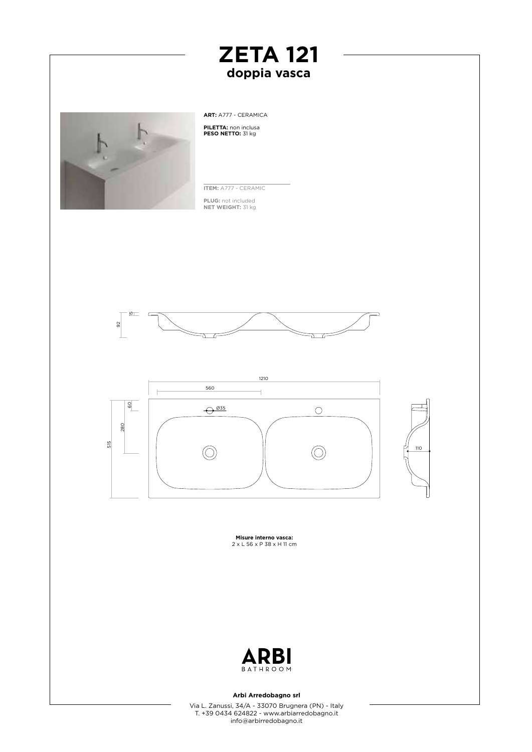